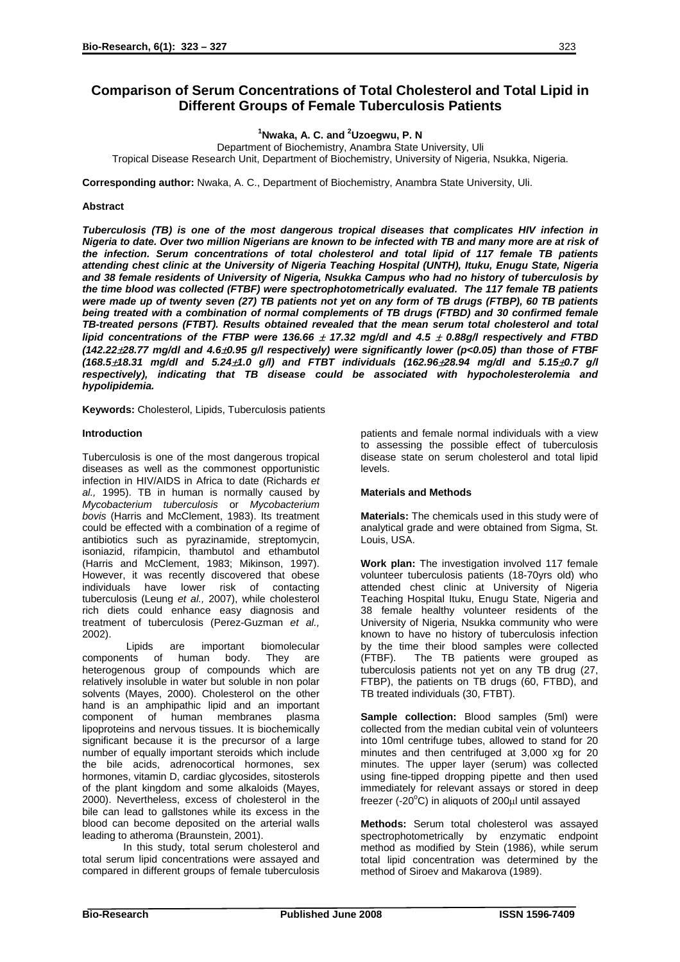# **Comparison of Serum Concentrations of Total Cholesterol and Total Lipid in Different Groups of Female Tuberculosis Patients**

**1 Nwaka, A. C. and <sup>2</sup> Uzoegwu, P. N**

Department of Biochemistry, Anambra State University, Uli Tropical Disease Research Unit, Department of Biochemistry, University of Nigeria, Nsukka, Nigeria.

**Corresponding author:** Nwaka, A. C., Department of Biochemistry, Anambra State University, Uli.

# **Abstract**

*Tuberculosis (TB) is one of the most dangerous tropical diseases that complicates HIV infection in Nigeria to date. Over two million Nigerians are known to be infected with TB and many more are at risk of the infection. Serum concentrations of total cholesterol and total lipid of 117 female TB patients attending chest clinic at the University of Nigeria Teaching Hospital (UNTH), Ituku, Enugu State, Nigeria and 38 female residents of University of Nigeria, Nsukka Campus who had no history of tuberculosis by the time blood was collected (FTBF) were spectrophotometrically evaluated. The 117 female TB patients were made up of twenty seven (27) TB patients not yet on any form of TB drugs (FTBP), 60 TB patients being treated with a combination of normal complements of TB drugs (FTBD) and 30 confirmed female TB-treated persons (FTBT). Results obtained revealed that the mean serum total cholesterol and total lipid concentrations of the FTBP were 136.66* <sup>±</sup> *17.32 mg/dl and 4.5* ± *0.88g/l respectively and FTBD (142.22*±*28.77 mg/dl and 4.6*±*0.95 g/l respectively) were significantly lower (p<0.05) than those of FTBF (168.5*±*18.31 mg/dl and 5.24*±*1.0 g/l) and FTBT individuals (162.96*±*28.94 mg/dl and 5.15*±*0.7 g/l respectively), indicating that TB disease could be associated with hypocholesterolemia and hypolipidemia.* 

**Keywords:** Cholesterol, Lipids, Tuberculosis patients

## **Introduction**

Tuberculosis is one of the most dangerous tropical diseases as well as the commonest opportunistic infection in HIV/AIDS in Africa to date (Richards *et al.,* 1995). TB in human is normally caused by *Mycobacterium tuberculosis* or *Mycobacterium bovis* (Harris and McClement, 1983). Its treatment could be effected with a combination of a regime of antibiotics such as pyrazinamide, streptomycin, isoniazid, rifampicin, thambutol and ethambutol (Harris and McClement, 1983; Mikinson, 1997). However, it was recently discovered that obese individuals have lower risk of contacting tuberculosis (Leung *et al.,* 2007), while cholesterol rich diets could enhance easy diagnosis and treatment of tuberculosis (Perez-Guzman *et al.,* 2002).

Lipids are important biomolecular components of human body. They are heterogenous group of compounds which are relatively insoluble in water but soluble in non polar solvents (Mayes, 2000). Cholesterol on the other hand is an amphipathic lipid and an important component of human membranes plasma lipoproteins and nervous tissues. It is biochemically significant because it is the precursor of a large number of equally important steroids which include the bile acids, adrenocortical hormones, sex hormones, vitamin D, cardiac glycosides, sitosterols of the plant kingdom and some alkaloids (Mayes, 2000). Nevertheless, excess of cholesterol in the bile can lead to gallstones while its excess in the blood can become deposited on the arterial walls leading to atheroma (Braunstein, 2001).

In this study, total serum cholesterol and total serum lipid concentrations were assayed and compared in different groups of female tuberculosis patients and female normal individuals with a view to assessing the possible effect of tuberculosis disease state on serum cholesterol and total lipid levels.

## **Materials and Methods**

**Materials:** The chemicals used in this study were of analytical grade and were obtained from Sigma, St. Louis, USA.

**Work plan:** The investigation involved 117 female volunteer tuberculosis patients (18-70yrs old) who attended chest clinic at University of Nigeria Teaching Hospital Ituku, Enugu State, Nigeria and 38 female healthy volunteer residents of the University of Nigeria, Nsukka community who were known to have no history of tuberculosis infection by the time their blood samples were collected (FTBF). The TB patients were grouped as tuberculosis patients not yet on any TB drug (27, FTBP), the patients on TB drugs (60, FTBD), and TB treated individuals (30, FTBT).

**Sample collection:** Blood samples (5ml) were collected from the median cubital vein of volunteers into 10ml centrifuge tubes, allowed to stand for 20 minutes and then centrifuged at 3,000 xg for 20 minutes. The upper layer (serum) was collected using fine-tipped dropping pipette and then used immediately for relevant assays or stored in deep freezer (-20 $\rm ^{o}C$ ) in aliquots of 200 $\rm \mu$ l until assayed

**Methods:** Serum total cholesterol was assayed spectrophotometrically by enzymatic endpoint method as modified by Stein (1986), while serum total lipid concentration was determined by the method of Siroev and Makarova (1989).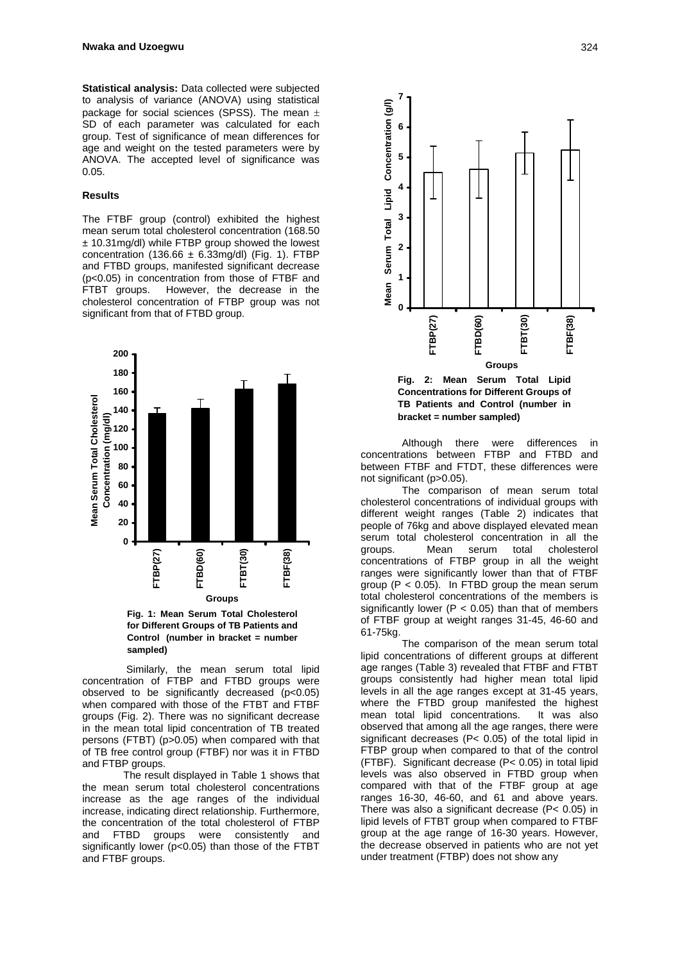**Statistical analysis:** Data collected were subjected to analysis of variance (ANOVA) using statistical package for social sciences (SPSS). The mean  $\pm$ SD of each parameter was calculated for each group. Test of significance of mean differences for age and weight on the tested parameters were by ANOVA. The accepted level of significance was 0.05.

## **Results**

The FTBF group (control) exhibited the highest mean serum total cholesterol concentration (168.50 ± 10.31mg/dl) while FTBP group showed the lowest concentration (136.66  $\pm$  6.33mg/dl) (Fig. 1). FTBP and FTBD groups, manifested significant decrease (p<0.05) in concentration from those of FTBF and FTBT groups. However, the decrease in the cholesterol concentration of FTBP group was not significant from that of FTBD group.



**Fig. 1: Mean Serum Total Cholesterol for Different Groups of TB Patients and Control (number in bracket = number sampled)**

Similarly, the mean serum total lipid concentration of FTBP and FTBD groups were observed to be significantly decreased (p<0.05) when compared with those of the FTBT and FTBF groups (Fig. 2). There was no significant decrease in the mean total lipid concentration of TB treated persons (FTBT) (p>0.05) when compared with that of TB free control group (FTBF) nor was it in FTBD and FTBP groups.

The result displayed in Table 1 shows that the mean serum total cholesterol concentrations increase as the age ranges of the individual increase, indicating direct relationship. Furthermore, the concentration of the total cholesterol of FTBP and FTBD groups were consistently and significantly lower (p<0.05) than those of the FTBT and FTBF groups.



**Fig. 2: Mean Serum Total Lipid Concentrations for Different Groups of TB Patients and Control (number in bracket = number sampled)**

Although there were differences in concentrations between FTBP and FTBD and between FTBF and FTDT, these differences were not significant (p>0.05).

The comparison of mean serum total cholesterol concentrations of individual groups with different weight ranges (Table 2) indicates that people of 76kg and above displayed elevated mean serum total cholesterol concentration in all the groups. Mean serum total cholesterol concentrations of FTBP group in all the weight ranges were significantly lower than that of FTBF group ( $P < 0.05$ ). In FTBD group the mean serum total cholesterol concentrations of the members is significantly lower ( $P < 0.05$ ) than that of members of FTBF group at weight ranges 31-45, 46-60 and 61-75kg.

The comparison of the mean serum total lipid concentrations of different groups at different age ranges (Table 3) revealed that FTBF and FTBT groups consistently had higher mean total lipid levels in all the age ranges except at 31-45 years, where the FTBD group manifested the highest<br>mean total lipid concentrations. It was also mean total lipid concentrations. observed that among all the age ranges, there were significant decreases (P< 0.05) of the total lipid in FTBP group when compared to that of the control (FTBF). Significant decrease (P< 0.05) in total lipid levels was also observed in FTBD group when compared with that of the FTBF group at age ranges 16-30, 46-60, and 61 and above years. There was also a significant decrease (P< 0.05) in lipid levels of FTBT group when compared to FTBF group at the age range of 16-30 years. However, the decrease observed in patients who are not yet under treatment (FTBP) does not show any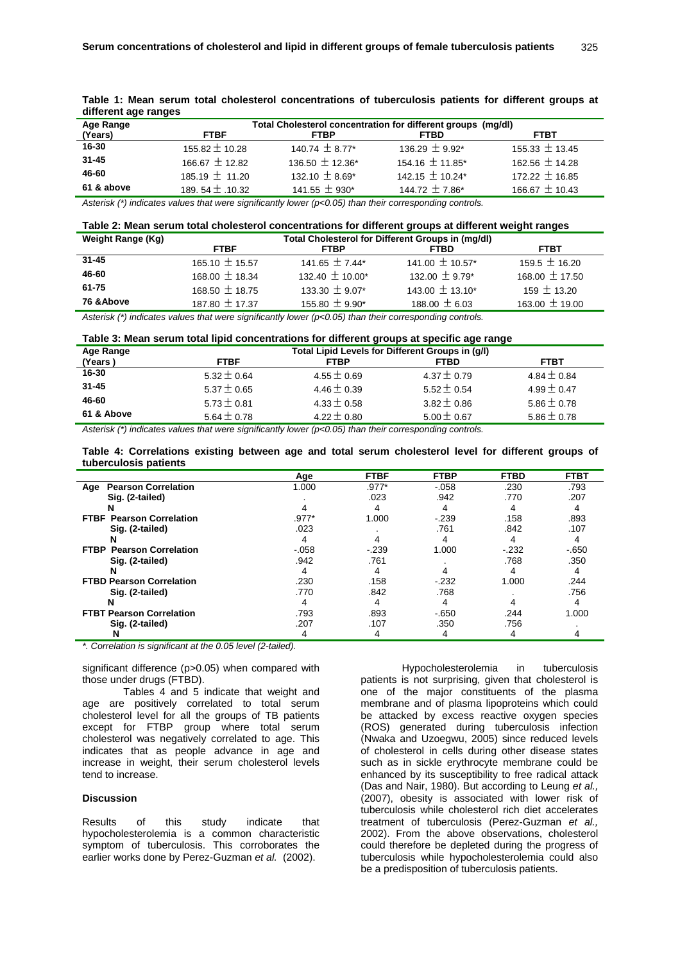| unicient age ranges |                                                              |                                     |                      |                    |  |  |  |  |  |
|---------------------|--------------------------------------------------------------|-------------------------------------|----------------------|--------------------|--|--|--|--|--|
| Age Range           | Total Cholesterol concentration for different groups (mg/dl) |                                     |                      |                    |  |  |  |  |  |
| (Years)             | <b>FTBF</b>                                                  | <b>FTBP</b>                         | <b>FTBD</b>          | FTBT               |  |  |  |  |  |
| 16-30               | 155.82 $\pm$ 10.28                                           | 140.74 $\pm$ 8.77*                  | 136.29 $\pm$ 9.92*   | 155.33 $\pm$ 13.45 |  |  |  |  |  |
| $31 - 45$           | 166.67 $\pm$ 12.82                                           | 136.50 $\pm$ 12.36*                 | $154.16 \pm 11.85^*$ | 162.56 $\pm$ 14.28 |  |  |  |  |  |
| 46-60               | 185.19 $\pm$ 11.20                                           | 132.10 $\pm$ 8.69*                  | 142.15 $\pm$ 10.24*  | 172.22 $\pm$ 16.85 |  |  |  |  |  |
| 61 & above          | 189.54 $\pm$ .10.32                                          | 141.55 $\pm$ 930*                   | 144.72 $\pm$ 7.86*   | 166.67 $\pm$ 10.43 |  |  |  |  |  |
| .                   |                                                              | $\cdots$ $\cdots$ $\cdots$ $\cdots$ |                      |                    |  |  |  |  |  |

**Table 1: Mean serum total cholesterol concentrations of tuberculosis patients for different groups at different age ranges** 

*Asterisk (\*) indicates values that were significantly lower (p<0.05) than their corresponding controls.* 

|                   | Table 2: Mean serum total cholesterol concentrations for different groups at different weight ranges |
|-------------------|------------------------------------------------------------------------------------------------------|
| Weight Range (Kg) | Total Cholesterol for Different Groups in (mg/dl)                                                    |

| ופיין ישניישיי ייישייי | <b>Total Onologici of Tor Diriciont Oroups in (ingrui)</b> |                      |                     |                    |  |  |  |  |  |
|------------------------|------------------------------------------------------------|----------------------|---------------------|--------------------|--|--|--|--|--|
|                        | <b>FTBF</b>                                                | <b>FTBP</b>          | <b>FTBD</b>         | <b>FTBT</b>        |  |  |  |  |  |
| 31-45                  | 165.10 $\pm$ 15.57                                         | 141.65 $\pm$ 7.44*   | 141.00 $\pm$ 10.57* | 159.5 $\pm$ 16.20  |  |  |  |  |  |
| 46-60                  | 168.00 $\pm$ 18.34                                         | $132.40 \pm 10.00^*$ | 132.00 $\pm$ 9.79*  | 168.00 $\pm$ 17.50 |  |  |  |  |  |
| 61-75                  | 168.50 $\pm$ 18.75                                         | 133.30 $\pm$ 9.07*   | 143.00 $\pm$ 13.10* | 159 $\pm$ 13.20    |  |  |  |  |  |
| 76 & Above             | 187.80 $\pm$ 17.37                                         | 155.80 $\pm$ 9.90*   | 188.00 $\pm$ 6.03   | $163.00 \pm 19.00$ |  |  |  |  |  |

*Asterisk (\*) indicates values that were significantly lower (p<0.05) than their corresponding controls.* 

# **Table 3: Mean serum total lipid concentrations for different groups at specific age range**

| Age Range  | Total Lipid Levels for Different Groups in (g/l) |                 |                 |                 |  |  |  |  |
|------------|--------------------------------------------------|-----------------|-----------------|-----------------|--|--|--|--|
| (Years)    | <b>FTBF</b>                                      | <b>FTBP</b>     | <b>FTBD</b>     | <b>FTBT</b>     |  |  |  |  |
| 16-30      | $5.32 \pm 0.64$                                  | 4.55 $\pm$ 0.69 | $4.37 \pm 0.79$ | 4.84 $\pm$ 0.84 |  |  |  |  |
| $31 - 45$  | $5.37 \pm 0.65$                                  | 4.46 $\pm$ 0.39 | $5.52 \pm 0.54$ | 4.99 $\pm$ 0.47 |  |  |  |  |
| 46-60      | $5.73 \pm 0.81$                                  | $4.33 \pm 0.58$ | $3.82 \pm 0.86$ | $5.86 \pm 0.78$ |  |  |  |  |
| 61 & Above | $5.64 \pm 0.78$                                  | $4.22 \pm 0.80$ | $5.00 \pm 0.67$ | $5.86 \pm 0.78$ |  |  |  |  |

*Asterisk (\*) indicates values that were significantly lower (p<0.05) than their corresponding controls.* 

| Table 4: Correlations existing between age and total serum cholesterol level for different groups of |  |  |  |  |  |  |
|------------------------------------------------------------------------------------------------------|--|--|--|--|--|--|
| tuberculosis patients                                                                                |  |  |  |  |  |  |

|                                           | Age      | <b>FTBF</b> | <b>FTBP</b> | <b>FTBD</b> | <b>FTBT</b> |
|-------------------------------------------|----------|-------------|-------------|-------------|-------------|
| <b>Pearson Correlation</b><br>Age         | 1.000    | $.977*$     | $-0.058$    | .230        | .793        |
| Sig. (2-tailed)                           |          | .023        | .942        | .770        | .207        |
| N                                         |          |             |             |             |             |
| <b>FTBF Pearson Correlation</b>           | $.977*$  | 1.000       | $-239$      | .158        | .893        |
| Sig. (2-tailed)                           | .023     |             | .761        | .842        | .107        |
|                                           |          |             |             |             |             |
| <b>Pearson Correlation</b><br><b>FTBP</b> | $-0.058$ | $-239$      | 1.000       | $-232$      | $-650$      |
| Sig. (2-tailed)                           | .942     | .761        |             | .768        | .350        |
|                                           |          | 4           |             |             |             |
| <b>FTBD Pearson Correlation</b>           | .230     | .158        | $-232$      | 1.000       | .244        |
| Sig. (2-tailed)                           | .770     | .842        | .768        |             | .756        |
| N                                         | 4        | 4           | 4           |             | 4           |
| <b>FTBT Pearson Correlation</b>           | .793     | .893        | $-650$      | .244        | 1.000       |
| Sig. (2-tailed)                           | .207     | .107        | .350        | .756        |             |
|                                           |          | 4           | 4           |             |             |

*\*. Correlation is significant at the 0.05 level (2-tailed).* 

significant difference (p>0.05) when compared with those under drugs (FTBD).

Tables 4 and 5 indicate that weight and age are positively correlated to total serum cholesterol level for all the groups of TB patients except for FTBP group where total serum cholesterol was negatively correlated to age. This indicates that as people advance in age and increase in weight, their serum cholesterol levels tend to increase.

## **Discussion**

Results of this study indicate that hypocholesterolemia is a common characteristic symptom of tuberculosis. This corroborates the earlier works done by Perez-Guzman *et al.* (2002).

Hypocholesterolemia in tuberculosis patients is not surprising, given that cholesterol is one of the major constituents of the plasma membrane and of plasma lipoproteins which could be attacked by excess reactive oxygen species (ROS) generated during tuberculosis infection (Nwaka and Uzoegwu, 2005) since reduced levels of cholesterol in cells during other disease states such as in sickle erythrocyte membrane could be enhanced by its susceptibility to free radical attack (Das and Nair, 1980). But according to Leung *et al.,*  (2007), obesity is associated with lower risk of tuberculosis while cholesterol rich diet accelerates treatment of tuberculosis (Perez-Guzman *et al.,* 2002). From the above observations, cholesterol could therefore be depleted during the progress of tuberculosis while hypocholesterolemia could also be a predisposition of tuberculosis patients.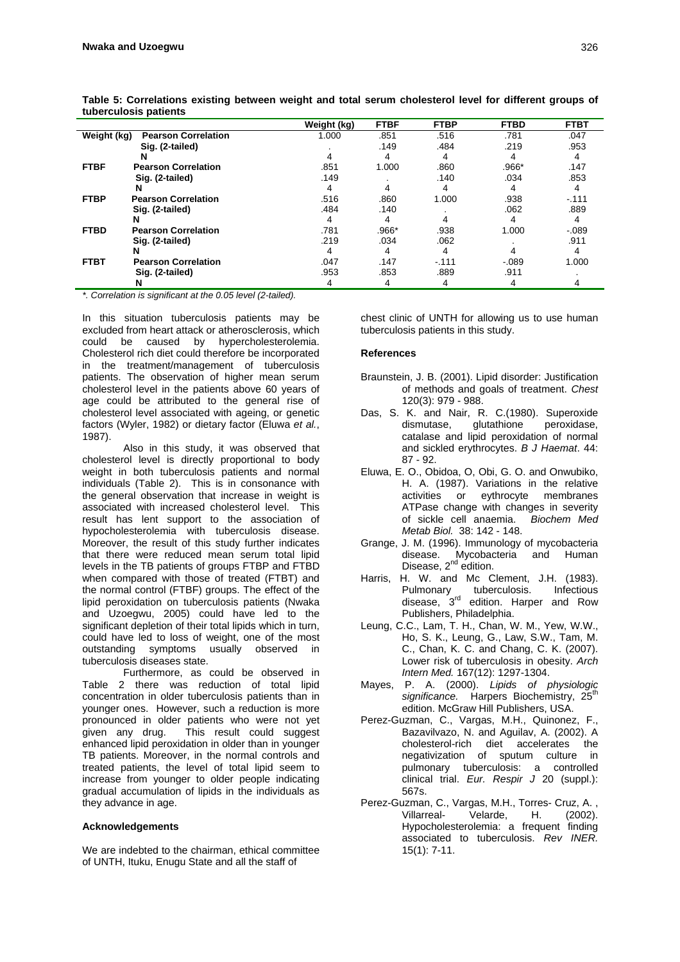|             | .                          |             |             |             |             |             |
|-------------|----------------------------|-------------|-------------|-------------|-------------|-------------|
|             |                            | Weight (kg) | <b>FTBF</b> | <b>FTBP</b> | <b>FTBD</b> | <b>FTBT</b> |
| Weight (kg) | <b>Pearson Correlation</b> | 1.000       | .851        | .516        | .781        | .047        |
|             | Sig. (2-tailed)            |             | .149        | .484        | .219        | .953        |
|             | N                          |             | 4           | 4           | 4           | 4           |
| <b>FTBF</b> | <b>Pearson Correlation</b> | .851        | 1.000       | .860        | .966*       | .147        |
|             | Sig. (2-tailed)            | .149        |             | .140        | .034        | .853        |
|             |                            |             |             |             |             |             |
| <b>FTBP</b> | <b>Pearson Correlation</b> | .516        | .860        | 1.000       | .938        | $-.111$     |
|             | Sig. (2-tailed)            | .484        | .140        |             | .062        | .889        |
|             |                            |             | 4           |             |             |             |
| <b>FTBD</b> | <b>Pearson Correlation</b> | .781        | .966*       | .938        | 1.000       | $-.089$     |
|             | Sig. (2-tailed)            | .219        | .034        | .062        |             | .911        |
|             |                            |             | 4           | 4           |             |             |
| <b>FTBT</b> | <b>Pearson Correlation</b> | .047        | .147        | $-.111$     | $-.089$     | 1.000       |
|             | Sig. (2-tailed)            | .953        | .853        | .889        | .911        |             |
|             | N                          |             | 4           | 4           |             |             |

**Table 5: Correlations existing between weight and total serum cholesterol level for different groups of tuberculosis patients** 

*\*. Correlation is significant at the 0.05 level (2-tailed).* 

In this situation tuberculosis patients may be excluded from heart attack or atherosclerosis, which could be caused by hypercholesterolemia. Cholesterol rich diet could therefore be incorporated in the treatment/management of tuberculosis patients. The observation of higher mean serum cholesterol level in the patients above 60 years of age could be attributed to the general rise of cholesterol level associated with ageing, or genetic factors (Wyler, 1982) or dietary factor (Eluwa *et al.*, 1987).

 Also in this study, it was observed that cholesterol level is directly proportional to body weight in both tuberculosis patients and normal individuals (Table 2). This is in consonance with the general observation that increase in weight is associated with increased cholesterol level. This result has lent support to the association of hypocholesterolemia with tuberculosis disease. Moreover, the result of this study further indicates that there were reduced mean serum total lipid levels in the TB patients of groups FTBP and FTBD when compared with those of treated (FTBT) and the normal control (FTBF) groups. The effect of the lipid peroxidation on tuberculosis patients (Nwaka and Uzoegwu, 2005) could have led to the significant depletion of their total lipids which in turn. could have led to loss of weight, one of the most outstanding symptoms usually observed in tuberculosis diseases state.

 Furthermore, as could be observed in Table 2 there was reduction of total lipid concentration in older tuberculosis patients than in younger ones. However, such a reduction is more pronounced in older patients who were not yet<br>given any drug. This result could suggest This result could suggest enhanced lipid peroxidation in older than in younger TB patients. Moreover, in the normal controls and treated patients, the level of total lipid seem to increase from younger to older people indicating gradual accumulation of lipids in the individuals as they advance in age.

## **Acknowledgements**

We are indebted to the chairman, ethical committee of UNTH, Ituku, Enugu State and all the staff of

chest clinic of UNTH for allowing us to use human tuberculosis patients in this study.

## **References**

- Braunstein, J. B. (2001). Lipid disorder: Justification of methods and goals of treatment. *Chest* 120(3): 979 - 988.
- Das, S. K. and Nair, R. C.(1980). Superoxide<br>dismutase, glutathione peroxidase, dismutase, glutathione peroxidase, catalase and lipid peroxidation of normal and sickled erythrocytes. *B J Haemat*. 44: 87 - 92.
- Eluwa, E. O., Obidoa, O, Obi, G. O. and Onwubiko, H. A. (1987). Variations in the relative activities or eythrocyte membranes ATPase change with changes in severity of sickle cell anaemia. *Biochem Med Metab Biol.* 38: 142 - 148.
- Grange, J. M. (1996). Immunology of mycobacteria disease. Mycobacteria and Human Disease, 2<sup>nd</sup> edition.
- Harris, H. W. and Mc Clement, J.H. (1983). Pulmonary tuberculosis. Infectious disease, 3<sup>rd</sup> edition. Harper and Row Publishers, Philadelphia.
- Leung, C.C., Lam, T. H., Chan, W. M., Yew, W.W., Ho, S. K., Leung, G., Law, S.W., Tam, M. C., Chan, K. C. and Chang, C. K. (2007). Lower risk of tuberculosis in obesity. *Arch Intern Med.* 167(12): 1297-1304.
- Mayes, P. A. (2000). *Lipids of physiologic*  significance. Harpers Biochemistry, 25<sup>th</sup> edition. McGraw Hill Publishers, USA.
- Perez-Guzman, C., Vargas, M.H., Quinonez, F., Bazavilvazo, N. and Aguilav, A. (2002). A cholesterol-rich diet accelerates the negativization of sputum culture in pulmonary tuberculosis: a controlled clinical trial. *Eur. Respir J* 20 (suppl.): 567s.
- Perez-Guzman, C., Vargas, M.H., Torres- Cruz, A. , Villarreal- Velarde, H. (2002). Hypocholesterolemia: a frequent finding associated to tuberculosis. *Rev INER.*  15(1): 7-11.